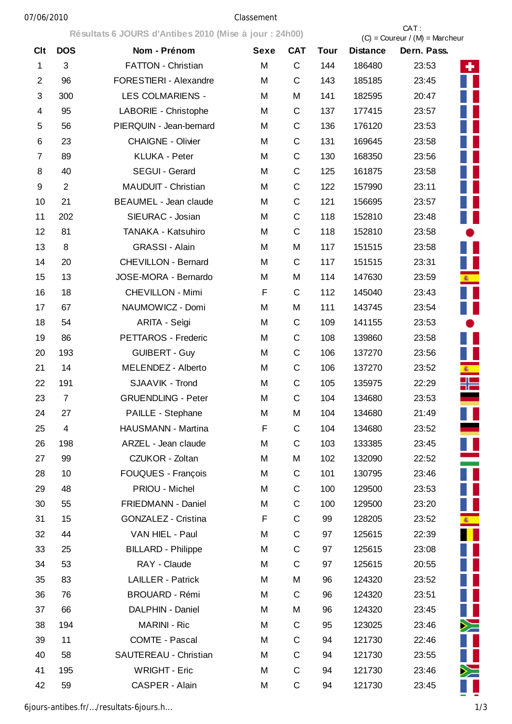## 07/06/2010 Classement

**Résultats 6 JOURS d'Antibes 2010 (Mise à jour : 24h00)** CAT :

|                |                           | Resultats 6 JOURS d'Antibes 2010 (Mise a jour : 24h00) |             |             | $(C) =$ Coureur / $(M) =$ Marcheur |                 |             |            |  |  |
|----------------|---------------------------|--------------------------------------------------------|-------------|-------------|------------------------------------|-----------------|-------------|------------|--|--|
| <b>Clt</b>     | <b>DOS</b>                | Nom - Prénom                                           | <b>Sexe</b> | <b>CAT</b>  | <b>Tour</b>                        | <b>Distance</b> | Dern. Pass. |            |  |  |
| $\mathbf 1$    | $\ensuremath{\mathsf{3}}$ | FATTON - Christian                                     | M           | C           | 144                                | 186480          | 23:53       | ÷.         |  |  |
| $\overline{2}$ | 96                        | FORESTIERI - Alexandre                                 | M           | C           | 143                                | 185185          | 23:45       |            |  |  |
| 3              | 300                       | LES COLMARIENS -                                       | M           | M           | 141                                | 182595          | 20:47       |            |  |  |
| 4              | 95                        | LABORIE - Christophe                                   | M           | $\mathsf C$ | 137                                | 177415          | 23:57       |            |  |  |
| 5              | 56                        | PIERQUIN - Jean-bernard                                | M           | $\mathsf C$ | 136                                | 176120          | 23:53       |            |  |  |
| 6              | 23                        | <b>CHAIGNE - Olivier</b>                               | M           | C           | 131                                | 169645          | 23:58       |            |  |  |
| 7              | 89                        | <b>KLUKA - Peter</b>                                   | M           | C           | 130                                | 168350          | 23:56       |            |  |  |
| 8              | 40                        | SEGUI - Gerard                                         | M           | $\mathsf C$ | 125                                | 161875          | 23:58       |            |  |  |
| 9              | $\overline{2}$            | MAUDUIT - Christian                                    | M           | $\mathsf C$ | 122                                | 157990          | 23:11       |            |  |  |
| 10             | 21                        | <b>BEAUMEL - Jean claude</b>                           | M           | $\mathsf C$ | 121                                | 156695          | 23:57       |            |  |  |
| 11             | 202                       | SIEURAC - Josian                                       | M           | C           | 118                                | 152810          | 23:48       |            |  |  |
| 12             | 81                        | TANAKA - Katsuhiro                                     | M           | $\mathsf C$ | 118                                | 152810          | 23:58       |            |  |  |
| 13             | 8                         | GRASSI - Alain                                         | M           | M           | 117                                | 151515          | 23:58       |            |  |  |
| 14             | 20                        | <b>CHEVILLON - Bernard</b>                             | M           | $\mathsf C$ | 117                                | 151515          | 23:31       |            |  |  |
| 15             | 13                        | JOSE-MORA - Bernardo                                   | M           | M           | 114                                | 147630          | 23:59       | 楽<br>-     |  |  |
| 16             | 18                        | CHEVILLON - Mimi                                       | F           | $\mathsf C$ | 112                                | 145040          | 23:43       |            |  |  |
| 17             | 67                        | NAUMOWICZ - Domi                                       | M           | M           | 111                                | 143745          | 23:54       |            |  |  |
| 18             | 54                        | ARITA - Seìgi                                          | M           | $\mathsf C$ | 109                                | 141155          | 23:53       |            |  |  |
| 19             | 86                        | PETTAROS - Frederic                                    | M           | C           | 108                                | 139860          | 23:58       |            |  |  |
| 20             | 193                       | <b>GUIBERT - Guy</b>                                   | M           | C           | 106                                | 137270          | 23:56       |            |  |  |
| 21             | 14                        | MELENDEZ - Alberto                                     | M           | C           | 106                                | 137270          | 23:52       | <b>图</b>   |  |  |
| 22             | 191                       | SJAAVIK - Trond                                        | M           | $\mathsf C$ | 105                                | 135975          | 22:29       | ╬═         |  |  |
| 23             | $\overline{7}$            | <b>GRUENDLING - Peter</b>                              | M           | $\mathsf C$ | 104                                | 134680          | 23:53       |            |  |  |
| 24             | 27                        | PAILLE - Stephane                                      | M           | M           | 104                                | 134680          | 21:49       |            |  |  |
| 25             | 4                         | HAUSMANN - Martina                                     | F           | C           | 104                                | 134680          | 23:52       |            |  |  |
| 26             | 198                       | ARZEL - Jean claude                                    | M           | $\mathsf C$ | 103                                | 133385          | 23:45       |            |  |  |
| 27             | 99                        | CZUKOR - Zoltan                                        | M           | M           | 102                                | 132090          | 22:52       |            |  |  |
| 28             | 10                        | FOUQUES - François                                     | M           | C           | 101                                | 130795          | 23:46       |            |  |  |
| 29             | 48                        | PRIOU - Michel                                         | M           | C           | 100                                | 129500          | 23:53       |            |  |  |
| 30             | 55                        | FRIEDMANN - Daniel                                     | M           | C           | 100                                | 129500          | 23:20       |            |  |  |
| 31             | 15                        | <b>GONZALEZ - Cristina</b>                             | F           | С           | 99                                 | 128205          | 23:52       | <b>徽</b> - |  |  |
| 32             | 44                        | VAN HIEL - Paul                                        | M           | C           | 97                                 | 125615          | 22:39       |            |  |  |
| 33             | 25                        | <b>BILLARD - Philippe</b>                              | M           | C           | 97                                 | 125615          | 23:08       |            |  |  |
| 34             | 53                        | RAY - Claude                                           | M           | $\mathsf C$ | 97                                 | 125615          | 20:55       |            |  |  |
| 35             | 83                        | LAILLER - Patrick                                      | M           | M           | 96                                 | 124320          | 23:52       |            |  |  |
| 36             | 76                        | <b>BROUARD - Rémi</b>                                  | M           | $\mathsf C$ | 96                                 | 124320          | 23:51       |            |  |  |
| 37             | 66                        | DALPHIN - Daniel                                       | M           | M           | 96                                 | 124320          | 23:45       |            |  |  |
| 38             | 194                       | <b>MARINI - Ric</b>                                    | M           | C           | 95                                 | 123025          | 23:46       | $\geq$     |  |  |
| 39             | 11                        | <b>COMTE - Pascal</b>                                  | M           | C           | 94                                 | 121730          | 22:46       |            |  |  |
| 40             | 58                        | SAUTEREAU - Christian                                  | M           | C           | 94                                 | 121730          | 23:55       |            |  |  |
| 41             | 195                       | <b>WRIGHT - Eric</b>                                   | M           | $\mathsf C$ | 94                                 | 121730          | 23:46       | $\geq$     |  |  |
| 42             | 59                        | CASPER - Alain                                         | M           | С           | 94                                 | 121730          | 23:45       |            |  |  |

6jours-antibes.fr/…/resultats-6jours.h… 1/3

Ļ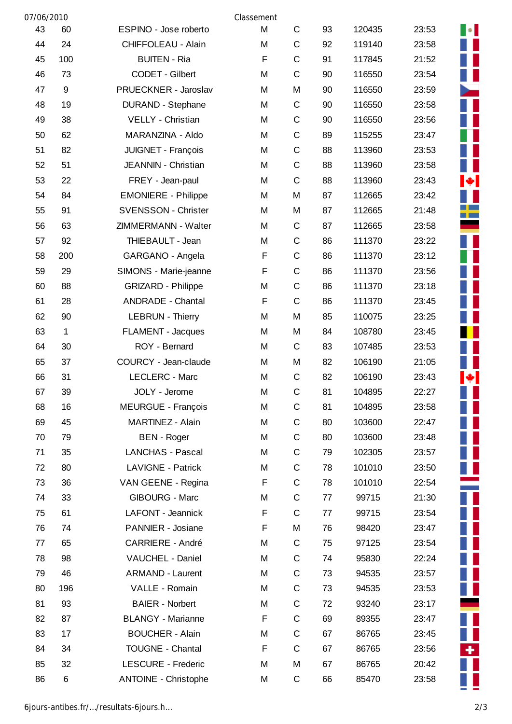| 07/06/2010 |             |                             | Classement |             |    |        |       |                                                             |
|------------|-------------|-----------------------------|------------|-------------|----|--------|-------|-------------------------------------------------------------|
| 43         | 60          | ESPINO - Jose roberto       | M          | $\mathsf C$ | 93 | 120435 | 23:53 | $\begin{array}{ c c } \hline \bullet & \bullet \end{array}$ |
| 44         | 24          | <b>CHIFFOLEAU - Alain</b>   | M          | $\mathsf C$ | 92 | 119140 | 23:58 |                                                             |
| 45         | 100         | <b>BUITEN - Ria</b>         | F          | $\mathsf C$ | 91 | 117845 | 21:52 | Ш                                                           |
| 46         | 73          | CODET - Gilbert             | M          | $\mathsf C$ | 90 | 116550 | 23:54 |                                                             |
| 47         | 9           | PRUECKNER - Jaroslav        | M          | M           | 90 | 116550 | 23:59 |                                                             |
| 48         | 19          | DURAND - Stephane           | M          | $\mathsf C$ | 90 | 116550 | 23:58 |                                                             |
| 49         | 38          | VELLY - Christian           | M          | $\mathsf C$ | 90 | 116550 | 23:56 |                                                             |
| 50         | 62          | MARANZINA - Aldo            | M          | $\mathsf C$ | 89 | 115255 | 23:47 |                                                             |
| 51         | 82          | JUIGNET - François          | M          | $\mathsf C$ | 88 | 113960 | 23:53 | H                                                           |
| 52         | 51          | JEANNIN - Christian         | M          | $\mathsf C$ | 88 | 113960 | 23:58 | Ш                                                           |
| 53         | 22          | FREY - Jean-paul            | M          | $\mathsf C$ | 88 | 113960 | 23:43 | $\bullet$ .                                                 |
| 54         | 84          | <b>EMONIERE - Philippe</b>  | M          | M           | 87 | 112665 | 23:42 | ш                                                           |
| 55         | 91          | <b>SVENSSON - Christer</b>  | M          | M           | 87 | 112665 | 21:48 | <b>Tara</b>                                                 |
| 56         | 63          | ZIMMERMANN - Walter         | M          | C           | 87 | 112665 | 23:58 | ۰                                                           |
| 57         | 92          | THIEBAULT - Jean            | M          | $\mathsf C$ | 86 | 111370 | 23:22 |                                                             |
| 58         | 200         | GARGANO - Angela            | F          | $\mathsf C$ | 86 | 111370 | 23:12 | H                                                           |
| 59         | 29          | SIMONS - Marie-jeanne       | F          | $\mathsf C$ | 86 | 111370 | 23:56 |                                                             |
| 60         | 88          | <b>GRIZARD - Philippe</b>   | M          | $\mathsf C$ | 86 | 111370 | 23:18 | H                                                           |
| 61         | 28          | <b>ANDRADE - Chantal</b>    | F          | $\mathsf C$ | 86 | 111370 | 23:45 |                                                             |
| 62         | 90          | <b>LEBRUN - Thierry</b>     | M          | M           | 85 | 110075 | 23:25 | H                                                           |
| 63         | $\mathbf 1$ | FLAMENT - Jacques           | M          | M           | 84 | 108780 | 23:45 |                                                             |
| 64         | 30          | ROY - Bernard               | M          | $\mathsf C$ | 83 | 107485 | 23:53 |                                                             |
| 65         | 37          | COURCY - Jean-claude        | M          | M           | 82 | 106190 | 21:05 |                                                             |
| 66         | 31          | LECLERC - Marc              | M          | C           | 82 | 106190 | 23:43 | $\left  \cdot \right $                                      |
| 67         | 39          | JOLY - Jerome               | M          | $\mathsf C$ | 81 | 104895 | 22:27 |                                                             |
| 68         | 16          | <b>MEURGUE - François</b>   | M          | C           | 81 | 104895 | 23:58 | Ш                                                           |
| 69         | 45          | MARTINEZ - Alain            | M          | $\mathsf C$ | 80 | 103600 | 22:47 | Ш                                                           |
| 70         | 79          | <b>BEN</b> - Roger          | M          | C           | 80 | 103600 | 23:48 | Ш                                                           |
| 71         | 35          | LANCHAS - Pascal            | M          | $\mathsf C$ | 79 | 102305 | 23:57 |                                                             |
| 72         | 80          | <b>LAVIGNE - Patrick</b>    | M          | $\mathsf C$ | 78 | 101010 | 23:50 | H                                                           |
| 73         | 36          | VAN GEENE - Regina          | F          | $\mathsf C$ | 78 | 101010 | 22:54 |                                                             |
| 74         | 33          | <b>GIBOURG - Marc</b>       | M          | $\mathsf C$ | 77 | 99715  | 21:30 | H                                                           |
| 75         | 61          | LAFONT - Jeannick           | F          | $\mathsf C$ | 77 | 99715  | 23:54 | $\mathbf{L}$                                                |
| 76         | 74          | PANNIER - Josiane           | F          | M           | 76 | 98420  | 23:47 | $\mathbb{R}^2$                                              |
| 77         | 65          | <b>CARRIERE - André</b>     | M          | $\mathsf C$ | 75 | 97125  | 23:54 |                                                             |
| 78         | 98          | VAUCHEL - Daniel            | M          | $\mathsf C$ | 74 | 95830  | 22:24 |                                                             |
| 79         | 46          | <b>ARMAND - Laurent</b>     | M          | $\mathsf C$ | 73 | 94535  | 23:57 | $\blacksquare$                                              |
| 80         | 196         | VALLE - Romain              | M          | $\mathsf C$ | 73 | 94535  | 23:53 | Ш                                                           |
| 81         | 93          | <b>BAIER - Norbert</b>      | M          | $\mathsf C$ | 72 | 93240  | 23:17 |                                                             |
| 82         | 87          | <b>BLANGY - Marianne</b>    | F          | $\mathsf C$ | 69 | 89355  | 23:47 | H                                                           |
| 83         | 17          | <b>BOUCHER - Alain</b>      | M          | $\mathsf C$ | 67 | 86765  | 23:45 | Ш                                                           |
| 84         | 34          | <b>TOUGNE - Chantal</b>     | F          | $\mathsf C$ | 67 | 86765  | 23:56 | ÷.                                                          |
| 85         | 32          | <b>LESCURE - Frederic</b>   | M          | M           | 67 | 86765  | 20:42 |                                                             |
| 86         | 6           | <b>ANTOINE - Christophe</b> | M          | C           | 66 | 85470  | 23:58 |                                                             |

Г Ξ